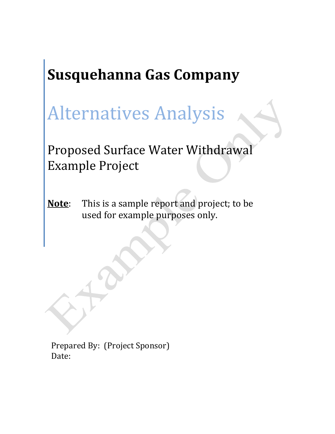# **Susquehanna Gas Company**

# Alternatives Analysis

Proposed Surface Water Withdrawal Example Project

**Note**: This is a sample report and project; to be used for example purposes only.

Prepared By: (Project Sponsor) Date: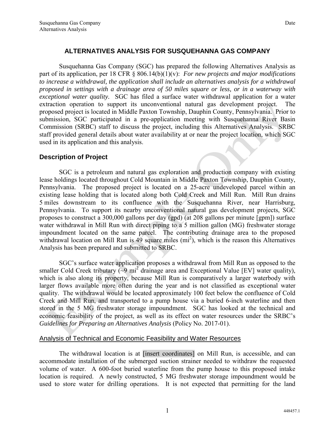#### **ALTERNATIVES ANALYSIS FOR SUSQUEHANNA GAS COMPANY**

 Susquehanna Gas Company (SGC) has prepared the following Alternatives Analysis as part of its application, per 18 CFR § 806.14(b)(1)(v): *For new projects and major modifications to increase a withdrawal, the application shall include an alternatives analysis for a withdrawal proposed in settings with a drainage area of 50 miles square or less, or in a waterway with exceptional water quality.* SGC has filed a surface water withdrawal application for a water extraction operation to support its unconventional natural gas development project. The proposed project is located in Middle Paxton Township, Dauphin County, Pennsylvania. Prior to submission, SGC participated in a pre-application meeting with Susquehanna River Basin Commission (SRBC) staff to discuss the project, including this Alternatives Analysis. SRBC staff provided general details about water availability at or near the project location, which SGC used in its application and this analysis.

#### **Description of Project**

SGC is a petroleum and natural gas exploration and production company with existing lease holdings located throughout Cold Mountain in Middle Paxton Township, Dauphin County, Pennsylvania. The proposed project is located on a 25-acre undeveloped parcel within an existing lease holding that is located along both Cold Creek and Mill Run. Mill Run drains 5 miles downstream to its confluence with the Susquehanna River, near Harrisburg, Pennsylvania. To support its nearby unconventional natural gas development projects, SGC proposes to construct a 300,000 gallons per day (gpd) (at 208 gallons per minute [gpm]) surface water withdrawal in Mill Run with direct piping to a 5 million gallon (MG) freshwater storage impoundment located on the same parcel. The contributing drainage area to the proposed withdrawal location on Mill Run is  $\overline{49}$  square miles (mi<sup>2</sup>), which is the reason this Alternatives Analysis has been prepared and submitted to SRBC.

 SGC's surface water application proposes a withdrawal from Mill Run as opposed to the smaller Cold Creek tributary  $\left(\sim 9 \text{ mi}^2\right)$  drainage area and Exceptional Value [EV] water quality), which is also along its property, because Mill Run is comparatively a larger waterbody with larger flows available more often during the year and is not classified as exceptional water quality. The withdrawal would be located approximately 100 feet below the confluence of Cold Creek and Mill Run, and transported to a pump house via a buried 6-inch waterline and then stored in the 5 MG freshwater storage impoundment. SGC has looked at the technical and economic feasibility of the project, as well as its effect on water resources under the SRBC's *Guidelines for Preparing an Alternatives Analysis* (Policy No. 2017-01).

#### Analysis of Technical and Economic Feasibility and Water Resources

 The withdrawal location is at [insert coordinates] on Mill Run, is accessible, and can accommodate installation of the submerged suction strainer needed to withdraw the requested volume of water. A 600-foot buried waterline from the pump house to this proposed intake location is required. A newly constructed, 5 MG freshwater storage impoundment would be used to store water for drilling operations. It is not expected that permitting for the land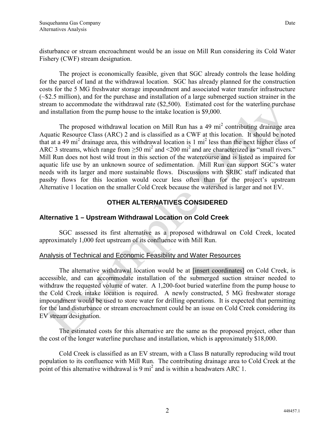disturbance or stream encroachment would be an issue on Mill Run considering its Cold Water Fishery (CWF) stream designation.

 The project is economically feasible, given that SGC already controls the lease holding for the parcel of land at the withdrawal location. SGC has already planned for the construction costs for the 5 MG freshwater storage impoundment and associated water transfer infrastructure (~\$2.5 million), and for the purchase and installation of a large submerged suction strainer in the stream to accommodate the withdrawal rate (\$2,500). Estimated cost for the waterline purchase and installation from the pump house to the intake location is \$9,000.

The proposed withdrawal location on Mill Run has a 49 mi<sup>2</sup> contributing drainage area Aquatic Resource Class (ARC) 2 and is classified as a CWF at this location. It should be noted that at a 49 mi<sup>2</sup> drainage area, this withdrawal location is 1 mi<sup>2</sup> less than the next higher class of ARC 3 streams, which range from  $\geq$ 50 mi<sup>2</sup> and  $\leq$ 200 mi<sup>2</sup> and are characterized as "small rivers." Mill Run does not host wild trout in this section of the watercourse and is listed as impaired for aquatic life use by an unknown source of sedimentation. Mill Run can support SGC's water needs with its larger and more sustainable flows. Discussions with SRBC staff indicated that passby flows for this location would occur less often than for the project's upstream Alternative 1 location on the smaller Cold Creek because the watershed is larger and not EV.

# **OTHER ALTERNATIVES CONSIDERED**

# **Alternative 1 – Upstream Withdrawal Location on Cold Creek**

 SGC assessed its first alternative as a proposed withdrawal on Cold Creek, located approximately 1,000 feet upstream of its confluence with Mill Run.

## Analysis of Technical and Economic Feasibility and Water Resources

 The alternative withdrawal location would be at [insert coordinates] on Cold Creek, is accessible, and can accommodate installation of the submerged suction strainer needed to withdraw the requested volume of water. A 1,200-foot buried waterline from the pump house to the Cold Creek intake location is required. A newly constructed, 5 MG freshwater storage impoundment would be used to store water for drilling operations. It is expected that permitting for the land disturbance or stream encroachment could be an issue on Cold Creek considering its EV stream designation.

 The estimated costs for this alternative are the same as the proposed project, other than the cost of the longer waterline purchase and installation, which is approximately \$18,000.

 Cold Creek is classified as an EV stream, with a Class B naturally reproducing wild trout population to its confluence with Mill Run. The contributing drainage area to Cold Creek at the point of this alternative withdrawal is 9  $\text{mi}^2$  and is within a headwaters ARC 1.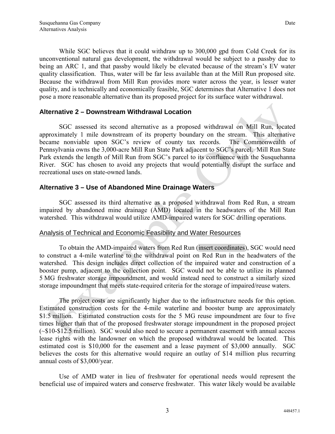While SGC believes that it could withdraw up to 300,000 gpd from Cold Creek for its unconventional natural gas development, the withdrawal would be subject to a passby due to being an ARC 1, and that passby would likely be elevated because of the stream's EV water quality classification. Thus, water will be far less available than at the Mill Run proposed site. Because the withdrawal from Mill Run provides more water across the year, is lesser water quality, and is technically and economically feasible, SGC determines that Alternative 1 does not pose a more reasonable alternative than its proposed project for its surface water withdrawal.

#### **Alternative 2 – Downstream Withdrawal Location**

 SGC assessed its second alternative as a proposed withdrawal on Mill Run, located approximately 1 mile downstream of its property boundary on the stream. This alternative became nonviable upon SGC's review of county tax records. The Commonwealth of Pennsylvania owns the 3,000-acre Mill Run State Park adjacent to SGC's parcel. Mill Run State Park extends the length of Mill Run from SGC's parcel to its confluence with the Susquehanna River. SGC has chosen to avoid any projects that would potentially disrupt the surface and recreational uses on state-owned lands.

## **Alternative 3 – Use of Abandoned Mine Drainage Waters**

 SGC assessed its third alternative as a proposed withdrawal from Red Run, a stream impaired by abandoned mine drainage (AMD) located in the headwaters of the Mill Run watershed. This withdrawal would utilize AMD-impaired waters for SGC drilling operations.

## Analysis of Technical and Economic Feasibility and Water Resources

 To obtain the AMD-impaired waters from Red Run (insert coordinates), SGC would need to construct a 4-mile waterline to the withdrawal point on Red Run in the headwaters of the watershed. This design includes direct collection of the impaired water and construction of a booster pump, adjacent to the collection point. SGC would not be able to utilize its planned 5 MG freshwater storage impoundment, and would instead need to construct a similarly sized storage impoundment that meets state-required criteria for the storage of impaired/reuse waters.

 The project costs are significantly higher due to the infrastructure needs for this option. Estimated construction costs for the 4-mile waterline and booster bump are approximately \$1.5 million. Estimated construction costs for the 5 MG reuse impoundment are four to five times higher than that of the proposed freshwater storage impoundment in the proposed project (~\$10-\$12.5 million). SGC would also need to secure a permanent easement with annual access lease rights with the landowner on which the proposed withdrawal would be located. This estimated cost is \$10,000 for the easement and a lease payment of \$3,000 annually. SGC believes the costs for this alternative would require an outlay of \$14 million plus recurring annual costs of \$3,000/year.

 Use of AMD water in lieu of freshwater for operational needs would represent the beneficial use of impaired waters and conserve freshwater. This water likely would be available